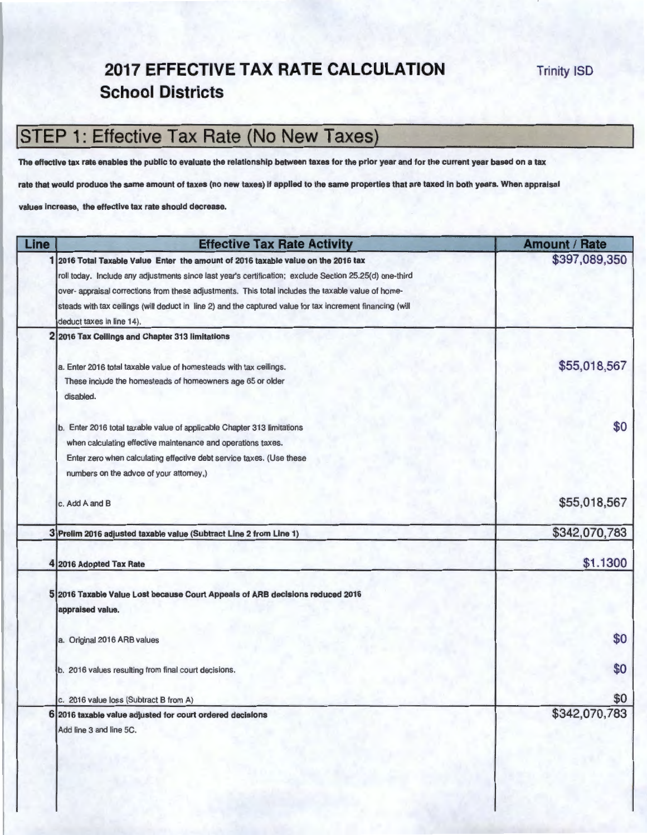#### **2017 EFFECTIVE TAX RATE CALCULATION School Districts**

### **ISTEP 1: Effective Tax Rate (No New Taxes)**

The effective tax rate enables the public to evaluate the relationship between taxes for the prior year and for the current year based on a tax

rate that would produce the same amount of taxes (no new taxes) If applied to the same properties that are taxed in both years. When appraisal

values increase, the effective tax rate should decrease.

| Line | <b>Effective Tax Rate Activity</b>                                                                        | <b>Amount / Rate</b> |
|------|-----------------------------------------------------------------------------------------------------------|----------------------|
|      | 2016 Total Taxable Value Enter the amount of 2016 taxable value on the 2016 tax                           | \$397,089,350        |
|      | roll today. Include any adjustments since last year's certification; exclude Section 25.25(d) one-third   |                      |
|      | over- appraisal corrections from these adjustments. This total includes the taxable value of home-        |                      |
|      | steads with tax ceilings (will deduct in line 2) and the captured value for tax increment financing (will |                      |
|      | deduct taxes in line 14).                                                                                 |                      |
|      | 2016 Tax Ceilings and Chapter 313 limitations                                                             |                      |
|      | a. Enter 2016 total taxable value of homesteads with tax ceilings.                                        | \$55,018,567         |
|      | These include the homesteads of homeowners age 65 or older                                                |                      |
|      | disabled.                                                                                                 |                      |
|      | b. Enter 2016 total taxable value of applicable Chapter 313 limitations                                   | \$0                  |
|      | when calculating effective maintenance and operations taxes.                                              |                      |
|      | Enter zero when calculating effective debt service taxes. (Use these                                      |                      |
|      | numbers on the advce of your attorney,)                                                                   |                      |
|      | c. Add A and B                                                                                            | \$55,018,567         |
|      | 3 Prelim 2016 adjusted taxable value (Subtract Line 2 from Line 1)                                        | \$342,070,783        |
|      | 4 2016 Adopted Tax Rate                                                                                   | \$1.1300             |
|      |                                                                                                           |                      |
|      | 5 2016 Taxable Value Lost because Court Appeals of ARB decisions reduced 2016                             |                      |
|      | appraised value.                                                                                          |                      |
|      | a. Original 2016 ARB values                                                                               | \$0                  |
|      |                                                                                                           |                      |
|      | b. 2016 values resulting from final court decisions.                                                      | \$0                  |
|      | c. 2016 value loss (Subtract B from A)                                                                    | \$0                  |
|      | 2016 taxable value adjusted for court ordered decisions                                                   | \$342,070,783        |
|      | Add line 3 and line 5C.                                                                                   |                      |
|      |                                                                                                           |                      |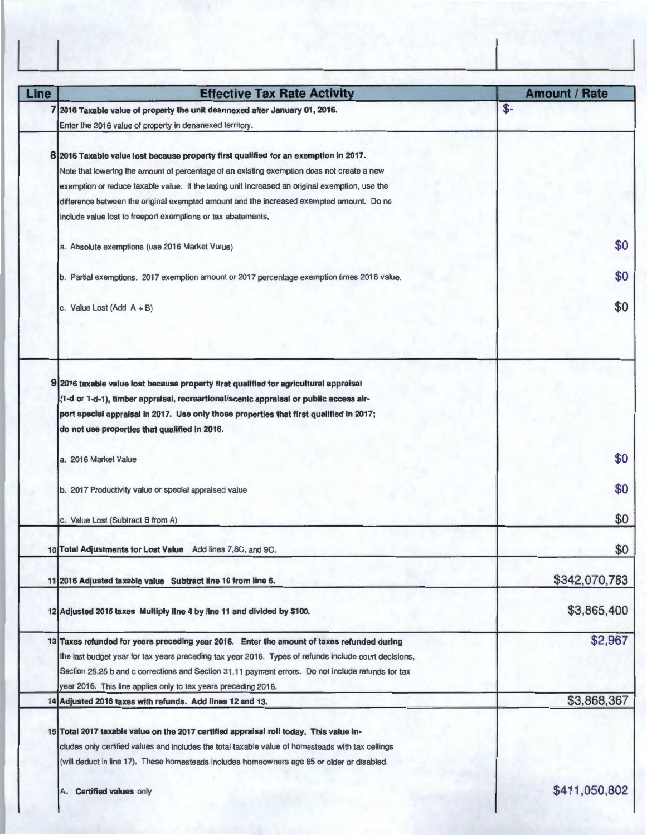| Line | <b>Effective Tax Rate Activity</b>                                                                    | <b>Amount / Rate</b> |
|------|-------------------------------------------------------------------------------------------------------|----------------------|
|      | 7 2016 Taxable value of property the unit deannexed after January 01, 2016.                           | \$-                  |
|      | Enter the 2016 value of property in denanexed territory.                                              |                      |
|      |                                                                                                       |                      |
|      | 8 2016 Taxable value lost because property first qualified for an exemption in 2017.                  |                      |
|      | Note that lowering the amount of percentage of an existing exemption does not create a new            |                      |
|      | exemption or reduce taxable value. If the taxing unit increased an original exemption, use the        |                      |
|      | difference between the original exempted amount and the increased exempted amount. Do no              |                      |
|      | include value lost to freeport exemptions or tax abatements,                                          |                      |
|      | a. Absolute exemptions (use 2016 Market Value)                                                        | \$0                  |
|      |                                                                                                       |                      |
|      | b. Partial exemptions. 2017 exemption amount or 2017 percentage exemption times 2016 value.           | \$0                  |
|      |                                                                                                       |                      |
|      | c. Value Lost (Add $A + B$ )                                                                          | \$0                  |
|      |                                                                                                       |                      |
|      |                                                                                                       |                      |
|      | 9 2016 taxable value lost because property first qualified for agricultural appraisal                 |                      |
|      | (1-d or 1-d-1), timber appraisal, recreartional/scenic appraisal or public access air-                |                      |
|      | port special appraisal in 2017. Use only those properties that first qualified in 2017;               |                      |
|      | do not use properties that qualified in 2016.                                                         |                      |
|      | a. 2016 Market Value                                                                                  | \$0                  |
|      |                                                                                                       |                      |
|      | b. 2017 Productivity value or special appraised value                                                 | \$0                  |
|      |                                                                                                       |                      |
|      | c. Value Lost (Subtract B from A)                                                                     | \$0                  |
|      | 10 Total Adjustments for Lost Value Add lines 7,8C, and 9C.                                           | \$0                  |
|      |                                                                                                       |                      |
|      | 11 2016 Adjusted taxable value Subtract line 10 from line 6.                                          | \$342,070,783        |
|      |                                                                                                       |                      |
|      | 12 Adjusted 2016 taxes Multiply line 4 by line 11 and divided by \$100.                               | \$3,865,400          |
|      | 13 Taxes refunded for years preceding year 2016. Enter the amount of taxes refunded during            | \$2,967              |
|      | the last budget year for tax years preceding tax year 2016. Types of refunds include court decisions, |                      |
|      | Section 25.25 b and c corrections and Section 31.11 payment errors. Do not include refunds for tax    |                      |
|      | year 2016. This line applies only to tax years preceding 2016.                                        |                      |
|      | 14 Adjusted 2016 taxes with refunds. Add lines 12 and 13.                                             | \$3,868,367          |
|      |                                                                                                       |                      |
|      | 15 Total 2017 taxable value on the 2017 certified appraisal roll today. This value in-                |                      |
|      | cludes only certified values and includes the total taxable value of homesteads with tax ceilings     |                      |
|      | (will deduct in line 17). These homesteads includes homeowners age 65 or older or disabled.           |                      |
|      | A. Certified values only                                                                              | \$411,050,802        |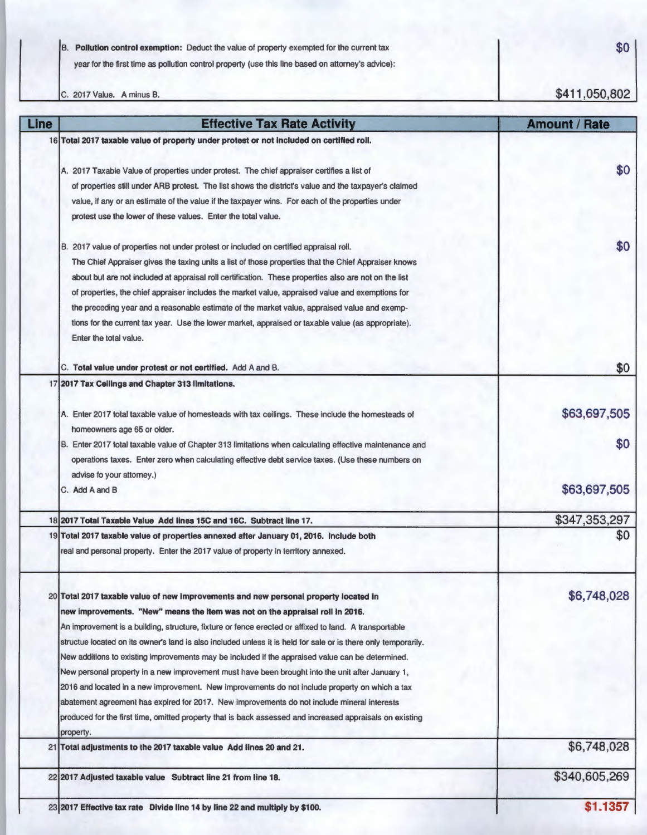B. **Pollution control exemption:** Deduct the value of property exempted for the current tax year for the first time as pollution control property (use this line based on attorney's advice):

C. 2017 Value. A minus B.

23 **2017 Effective tax rate Divide line 14 by line 22 and multiply by \$100.** 

**\$1.1357** 

**\$411 ,050,802**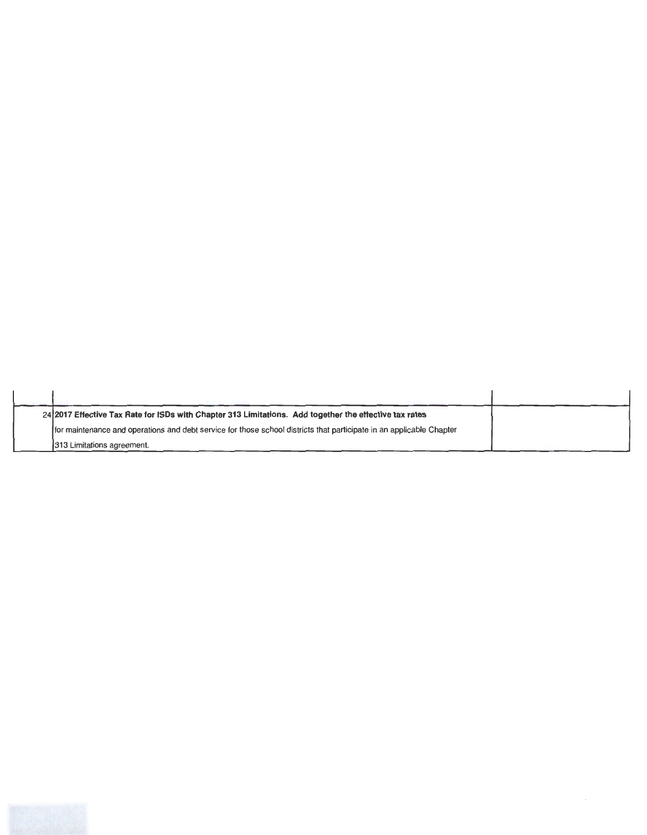| 24 2017 Effective Tax Rate for ISDs with Chapter 313 Limitations. Add together the effective tax rates               |  |
|----------------------------------------------------------------------------------------------------------------------|--|
| for maintenance and operations and debt service for those school districts that participate in an applicable Chapter |  |
| 1313 Limitations agreement.                                                                                          |  |

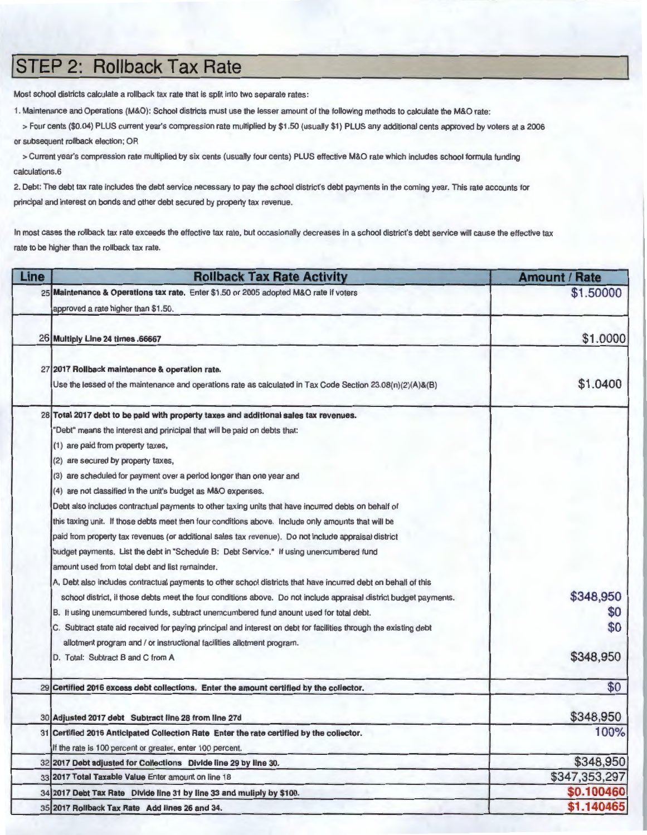### **jSTEP 2: Rollback Tax Rate**

Most school districts calculate a rollback tax rate that is split into two separate rates :

1. Maintenance and Operations (M&O): School districts must use the lesser amount of the following methods to calculate the M&O rate:

> Four cents (\$0.04) PLUS current year's compression rate multiplied by \$1.50 (usually **\$1 )** PLUS any additional cents approved by voters at a 2006 or subsequent rollback election; OR

> Current year's compression rate multiplied by six cents (usually four cents) PLUS effective M&O rate which includes school formula funding calculations.6

2. Debt: The debt tax rate includes the debt service necessary to pay the school district's debt payments in the coming year. This rate accounts for principal and interest on bonds and other debt secured by property tax revenue.

In most cases the rollback tax rate exceeds the effective tax rate, but occasionally decreases in a school district's debt service will cause the effective tax rate to be higher than the rollback tax rate.

| Line | <b>Rollback Tax Rate Activity</b>                                                                                                                                                                                                                                                                                                                                                                                                                                                                                                                                                                                                                                                                                                                                                                                                                                                                                                                                                                                                                                                                                                                                                                                                                                                                                                                                                          | <b>Amount / Rate</b>    |
|------|--------------------------------------------------------------------------------------------------------------------------------------------------------------------------------------------------------------------------------------------------------------------------------------------------------------------------------------------------------------------------------------------------------------------------------------------------------------------------------------------------------------------------------------------------------------------------------------------------------------------------------------------------------------------------------------------------------------------------------------------------------------------------------------------------------------------------------------------------------------------------------------------------------------------------------------------------------------------------------------------------------------------------------------------------------------------------------------------------------------------------------------------------------------------------------------------------------------------------------------------------------------------------------------------------------------------------------------------------------------------------------------------|-------------------------|
|      | 25 Maintenance & Operations tax rate. Enter \$1.50 or 2005 adopted M&O rate if voters<br>approved a rate higher than \$1.50.                                                                                                                                                                                                                                                                                                                                                                                                                                                                                                                                                                                                                                                                                                                                                                                                                                                                                                                                                                                                                                                                                                                                                                                                                                                               | \$1.50000               |
|      | 26 Multiply Line 24 times .66667                                                                                                                                                                                                                                                                                                                                                                                                                                                                                                                                                                                                                                                                                                                                                                                                                                                                                                                                                                                                                                                                                                                                                                                                                                                                                                                                                           | \$1.0000                |
|      | 27 2017 Rollback maintenance & operation rate.<br>Use the lessed of the maintenance and operations rate as calculated in Tax Code Section $23.08(n)(2)(A)$ &(B)                                                                                                                                                                                                                                                                                                                                                                                                                                                                                                                                                                                                                                                                                                                                                                                                                                                                                                                                                                                                                                                                                                                                                                                                                            | \$1.0400                |
|      | 28 Total 2017 debt to be paid with property taxes and additional sales tax revenues.<br>"Debt" means the interest and prinicipal that will be paid on debts that:<br>(1) are paid from property taxes,<br>(2) are secured by property taxes,<br>(3) are scheduled for payment over a period longer than one year and<br>(4) are not classified in the unit's budget as M&O expenses.<br>Debt also includes contractual payments to other taxing units that have incurred debts on behalf of<br>this taxing unit. If those debts meet then four conditions above. Include only amounts that will be<br>paid from property tax revenues (or additional sales tax revenue). Do not include appraisal district<br>budget payments. List the debt in "Schedule B: Debt Service." If using unencumbered fund<br>amount used from total debt and list remainder.<br>A, Debt also includes contractual payments to other school districts that have incurred debt on behalf of this<br>school district, if those debts meet the four conditions above. Do not include appraisal district budget payments.<br>B. If using unemcumbered funds, subtract unemcumbered fund anount used for total debt.<br>C. Subtract state aid received for paying principal and interest on debt for facilities through the existing debt<br>allotment program and / or instructional facilities allotment program. | \$348,950<br>\$0<br>\$0 |
|      | D. Total: Subtract B and C from A                                                                                                                                                                                                                                                                                                                                                                                                                                                                                                                                                                                                                                                                                                                                                                                                                                                                                                                                                                                                                                                                                                                                                                                                                                                                                                                                                          | \$348,950               |
|      | 29 Certified 2016 excess debt collections. Enter the amount certified by the collector.                                                                                                                                                                                                                                                                                                                                                                                                                                                                                                                                                                                                                                                                                                                                                                                                                                                                                                                                                                                                                                                                                                                                                                                                                                                                                                    | \$0                     |
|      | 30 Adjusted 2017 debt Subtract line 28 from line 27d                                                                                                                                                                                                                                                                                                                                                                                                                                                                                                                                                                                                                                                                                                                                                                                                                                                                                                                                                                                                                                                                                                                                                                                                                                                                                                                                       | \$348,950               |
| 31   | Certified 2016 Anticipated Collection Rate Enter the rate certified by the collector.<br>If the rate is 100 percent or greater, enter 100 percent.                                                                                                                                                                                                                                                                                                                                                                                                                                                                                                                                                                                                                                                                                                                                                                                                                                                                                                                                                                                                                                                                                                                                                                                                                                         | 100%                    |
|      | 32 2017 Debt adjusted for Collections Divide line 29 by line 30.                                                                                                                                                                                                                                                                                                                                                                                                                                                                                                                                                                                                                                                                                                                                                                                                                                                                                                                                                                                                                                                                                                                                                                                                                                                                                                                           | \$348,950               |
|      | 33 2017 Total Taxable Value Enter amount on line 18                                                                                                                                                                                                                                                                                                                                                                                                                                                                                                                                                                                                                                                                                                                                                                                                                                                                                                                                                                                                                                                                                                                                                                                                                                                                                                                                        | \$347,353,297           |
|      | 34 2017 Debt Tax Rate Divide line 31 by line 33 and muliply by \$100.                                                                                                                                                                                                                                                                                                                                                                                                                                                                                                                                                                                                                                                                                                                                                                                                                                                                                                                                                                                                                                                                                                                                                                                                                                                                                                                      | \$0.100460              |
|      | 35 2017 Rollback Tax Rate Add lines 26 and 34.                                                                                                                                                                                                                                                                                                                                                                                                                                                                                                                                                                                                                                                                                                                                                                                                                                                                                                                                                                                                                                                                                                                                                                                                                                                                                                                                             | \$1.140465              |